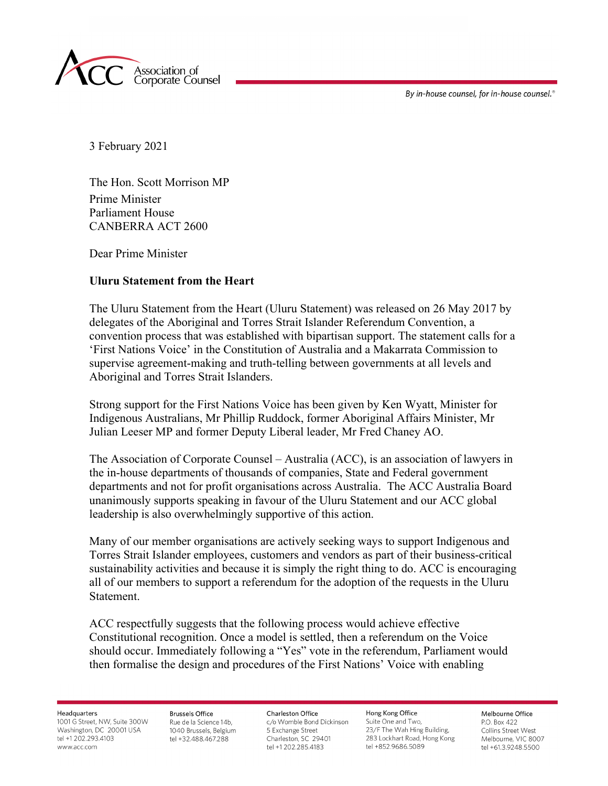By in-house counsel, for in-house counsel.<sup>®</sup>



3 February 2021

The Hon. Scott Morrison MP Prime Minister Parliament House CANBERRA ACT 2600

Dear Prime Minister

## **Uluru Statement from the Heart**

The Uluru Statement from the Heart (Uluru Statement) was released on 26 May 2017 by delegates of the Aboriginal and Torres Strait Islander Referendum Convention, a convention process that was established with bipartisan support. The statement calls for a 'First Nations Voice' in the Constitution of Australia and a Makarrata Commission to supervise agreement-making and truth-telling between governments at all levels and Aboriginal and Torres Strait Islanders.

Strong support for the First Nations Voice has been given by Ken Wyatt, Minister for Indigenous Australians, Mr Phillip Ruddock, former Aboriginal Affairs Minister, Mr Julian Leeser MP and former Deputy Liberal leader, Mr Fred Chaney AO.

The Association of Corporate Counsel – Australia (ACC), is an association of lawyers in the in-house departments of thousands of companies, State and Federal government departments and not for profit organisations across Australia. The ACC Australia Board unanimously supports speaking in favour of the Uluru Statement and our ACC global leadership is also overwhelmingly supportive of this action.

Many of our member organisations are actively seeking ways to support Indigenous and Torres Strait Islander employees, customers and vendors as part of their business-critical sustainability activities and because it is simply the right thing to do. ACC is encouraging all of our members to support a referendum for the adoption of the requests in the Uluru Statement.

ACC respectfully suggests that the following process would achieve effective Constitutional recognition. Once a model is settled, then a referendum on the Voice should occur. Immediately following a "Yes" vote in the referendum, Parliament would then formalise the design and procedures of the First Nations' Voice with enabling

Headquarters

1001 G Street, NW, Suite 300W Washington, DC 20001 USA tel +1 202.293.4103 www.acc.com

**Brussels Office** Rue de la Science 14b. 1040 Brussels, Belgium tel +32.488.467.288

**Charleston Office** c/o Womble Bond Dickinson 5 Exchange Street Charleston, SC 29401 tel +1 202.285.4183

Hong Kong Office Suite One and Two. 23/F The Wah Hing Building, 283 Lockhart Road, Hong Kong tel +852.9686.5089

Melhourne Office P.O. Box 422 Collins Street West Melbourne, VIC 8007 tel +61.3.9248.5500